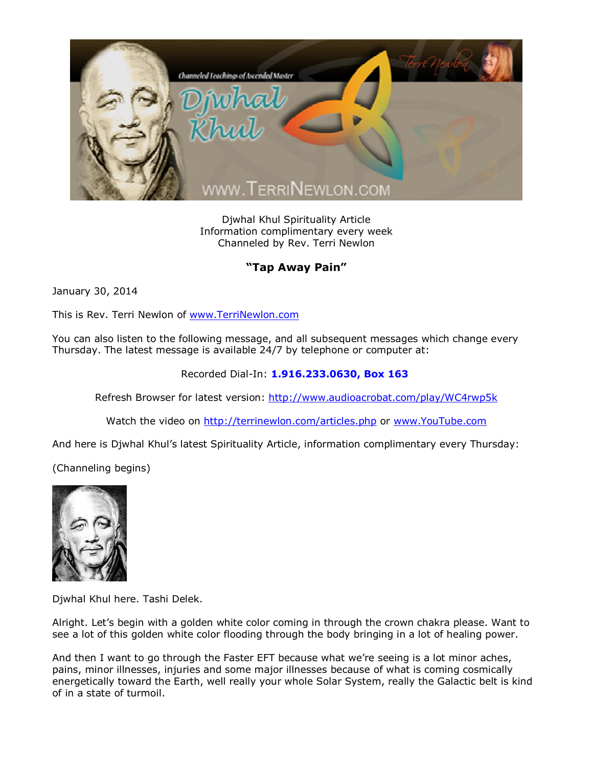

Djwhal Khul Spirituality Article Information complimentary every week Channeled by Rev. Terri Newlon

## **"Tap Away Pain"**

January 30, 2014

This is Rev. Terri Newlon of [www.TerriNewlon.com](http://www.terrinewlon.com/)

You can also listen to the following message, and all subsequent messages which change every Thursday. The latest message is available 24/7 by telephone or computer at:

Recorded Dial-In: **1.916.233.0630, Box 163**

Refresh Browser for latest version: <http://www.audioacrobat.com/play/WC4rwp5k>

Watch the video on <http://terrinewlon.com/articles.php> or [www.YouTube.com](http://www.youtube.com/)

And here is Djwhal Khul's latest Spirituality Article, information complimentary every Thursday:

(Channeling begins)



Djwhal Khul here. Tashi Delek.

Alright. Let's begin with a golden white color coming in through the crown chakra please. Want to see a lot of this golden white color flooding through the body bringing in a lot of healing power.

And then I want to go through the Faster EFT because what we're seeing is a lot minor aches, pains, minor illnesses, injuries and some major illnesses because of what is coming cosmically energetically toward the Earth, well really your whole Solar System, really the Galactic belt is kind of in a state of turmoil.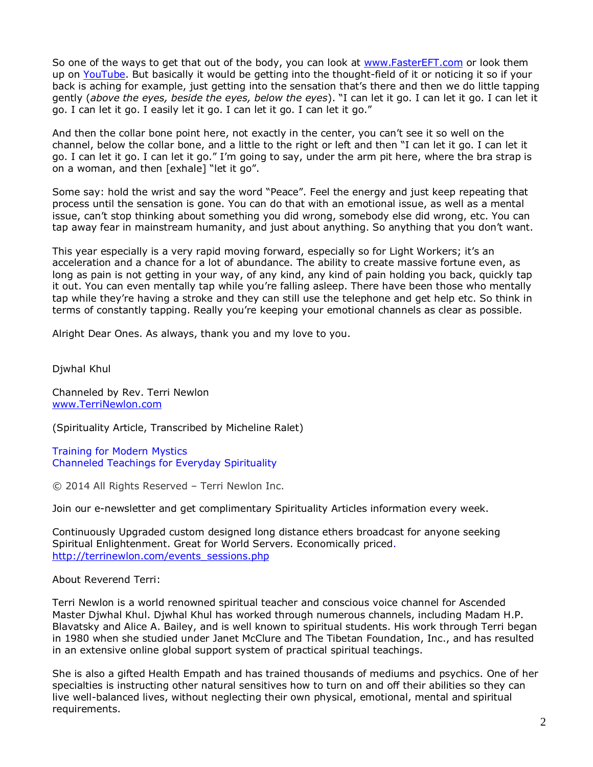So one of the ways to get that out of the body, you can look at [www.FasterEFT.com](http://www.fastereft.com/) or look them up on [YouTube.](http://www.youtube.com/) But basically it would be getting into the thought-field of it or noticing it so if your back is aching for example, just getting into the sensation that's there and then we do little tapping gently (*above the eyes, beside the eyes, below the eyes*). "I can let it go. I can let it go. I can let it go. I can let it go. I easily let it go. I can let it go. I can let it go."

And then the collar bone point here, not exactly in the center, you can't see it so well on the channel, below the collar bone, and a little to the right or left and then "I can let it go. I can let it go. I can let it go. I can let it go." I'm going to say, under the arm pit here, where the bra strap is on a woman, and then [exhale] "let it go".

Some say: hold the wrist and say the word "Peace". Feel the energy and just keep repeating that process until the sensation is gone. You can do that with an emotional issue, as well as a mental issue, can't stop thinking about something you did wrong, somebody else did wrong, etc. You can tap away fear in mainstream humanity, and just about anything. So anything that you don't want.

This year especially is a very rapid moving forward, especially so for Light Workers; it's an acceleration and a chance for a lot of abundance. The ability to create massive fortune even, as long as pain is not getting in your way, of any kind, any kind of pain holding you back, quickly tap it out. You can even mentally tap while you're falling asleep. There have been those who mentally tap while they're having a stroke and they can still use the telephone and get help etc. So think in terms of constantly tapping. Really you're keeping your emotional channels as clear as possible.

Alright Dear Ones. As always, thank you and my love to you.

Djwhal Khul

Channeled by Rev. Terri Newlon [www.TerriNewlon.com](http://www.terrinewlon.com/)

(Spirituality Article, Transcribed by Micheline Ralet)

Training for Modern Mystics [Channeled Teachings for Everyday Spirituality](http://www.terrinewlon.com/)

© 2014 All Rights Reserved – Terri Newlon Inc.

Join our e-newsletter and get complimentary Spirituality Articles information every week.

Continuously Upgraded custom designed long distance ethers broadcast for anyone seeking Spiritual Enlightenment. Great for World Servers. Economically priced. http://terrinewlon.com/events\_sessions.php

About Reverend Terri:

Terri Newlon is a world renowned spiritual teacher and conscious voice channel for Ascended Master Djwhal Khul. Djwhal Khul has worked through numerous channels, including Madam H.P. Blavatsky and Alice A. Bailey, and is well known to spiritual students. His work through Terri began in 1980 when she studied under Janet McClure and The Tibetan Foundation, Inc., and has resulted in an extensive online global support system of practical spiritual teachings.

She is also a gifted Health Empath and has trained thousands of mediums and psychics. One of her specialties is instructing other natural sensitives how to turn on and off their abilities so they can live well-balanced lives, without neglecting their own physical, emotional, mental and spiritual requirements.